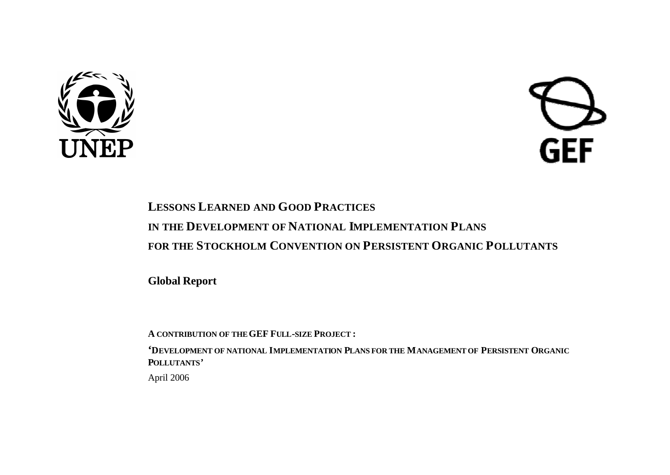



# **LESSONS LEARNED AND GOOD PRACTICES IN THE DEVELOPMENT OF NATIONAL IMPLEMENTATION PLANS FOR THE STOCKHOLM CONVENTION ON PERSISTENT ORGANIC POLLUTANTS**

**Global Report**

**A CONTRIBUTION OF THEGEF FULL-SIZE PROJECT :**

**'DEVELOPMENT OF NATIONAL IMPLEMENTATION PLANS FOR THE MANAGEMENT OF PERSISTENT ORGANIC POLLUTANTS'**

April 2006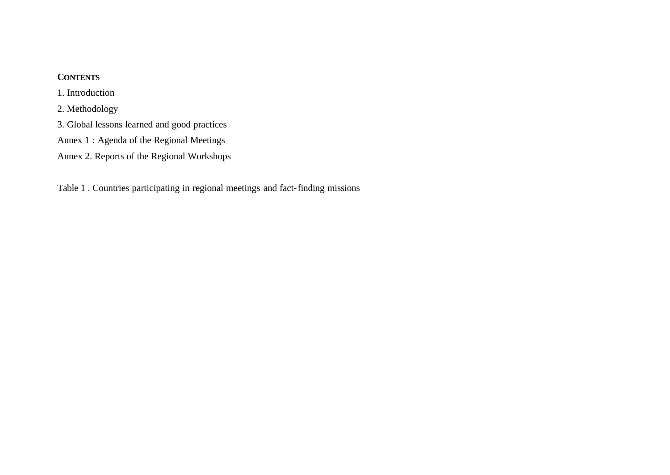### **CONTENTS**

1. Introduction

2. Methodology

3. Global lessons learned and good practices

Annex 1 : Agenda of the Regional Meetings

Annex 2. Reports of the Regional Workshops

Table 1 . Countries participating in regional meetings and fact-finding missions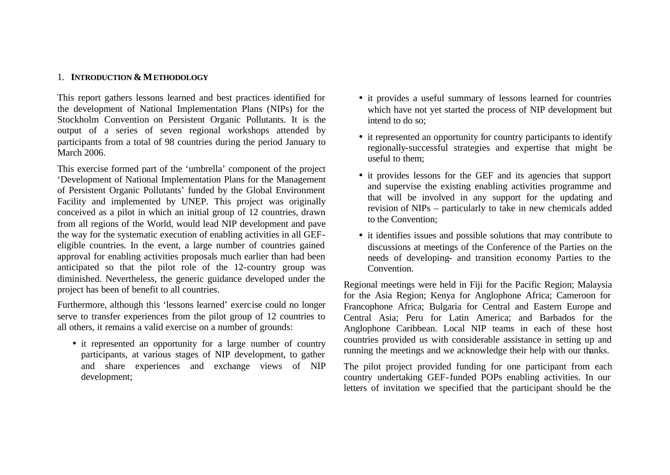#### 1. **INTRODUCTION & METHODOLOGY**

This report gathers lessons learned and best practices identified for the development of National Implementation Plans (NIPs) for the Stockholm Convention on Persistent Organic Pollutants. It is the output of a series of seven regional workshops attended by participants from a total of 98 countries during the period January to March 2006.

This exercise formed part of the 'umbrella' component of the project 'Development of National Implementation Plans for the Management of Persistent Organic Pollutants' funded by the Global Environment Facility and implemented by UNEP. This project was originally conceived as a pilot in which an initial group of 12 countries, drawn from all regions of the World, would lead NIP development and pave the way for the systematic execution of enabling activities in all GEFeligible countries. In the event, a large number of countries gained approval for enabling activities proposals much earlier than had been anticipated so that the pilot role of the 12-country group was diminished. Nevertheless, the generic guidance developed under the project has been of benefit to all countries.

Furthermore, although this 'lessons learned' exercise could no longer serve to transfer experiences from the pilot group of 12 countries to all others, it remains a valid exercise on a number of grounds:

• it represented an opportunity for a large number of country participants, at various stages of NIP development, to gather and share experiences and exchange views of NIP development;

- it provides a useful summary of lessons learned for countries which have not yet started the process of NIP development but intend to do so;
- it represented an opportunity for country participants to identify regionally-successful strategies and expertise that might be useful to them;
- it provides lessons for the GEF and its agencies that support and supervise the existing enabling activities programme and that will be involved in any support for the updating and revision of NIPs – particularly to take in new chemicals added to the Convention;
- it identifies issues and possible solutions that may contribute to discussions at meetings of the Conference of the Parties on the needs of developing- and transition economy Parties to the Convention.

Regional meetings were held in Fiji for the Pacific Region; Malaysia for the Asia Region; Kenya for Anglophone Africa; Cameroon for Francophone Africa; Bulgaria for Central and Eastern Europe and Central Asia; Peru for Latin America; and Barbados for the Anglophone Caribbean. Local NIP teams in each of these host countries provided us with considerable assistance in setting up and running the meetings and we acknowledge their help with our thanks.

The pilot project provided funding for one participant from each country undertaking GEF-funded POPs enabling activities. In our letters of invitation we specified that the participant should be the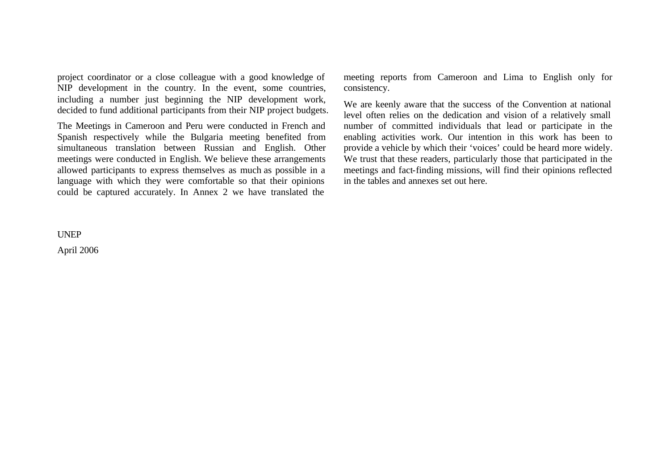project coordinator or a close colleague with a good knowledge of NIP development in the country. In the event, some countries, including a number just beginning the NIP development work, decided to fund additional participants from their NIP project budgets.

The Meetings in Cameroon and Peru were conducted in French and Spanish respectively while the Bulgaria meeting benefited from simultaneous translation between Russian and English. Other meetings were conducted in English. We believe these arrangements allowed participants to express themselves as much as possible in a language with which they were comfortable so that their opinions could be captured accurately. In Annex 2 we have translated the

UNEP

April 2006

meeting reports from Cameroon and Lima to English only for consistency.

We are keenly aware that the success of the Convention at national level often relies on the dedication and vision of a relatively small number of committed individuals that lead or participate in the enabling activities work. Our intention in this work has been to provide a vehicle by which their 'voices' could be heard more widely. We trust that these readers, particularly those that participated in the meetings and fact-finding missions, will find their opinions reflected in the tables and annexes set out here.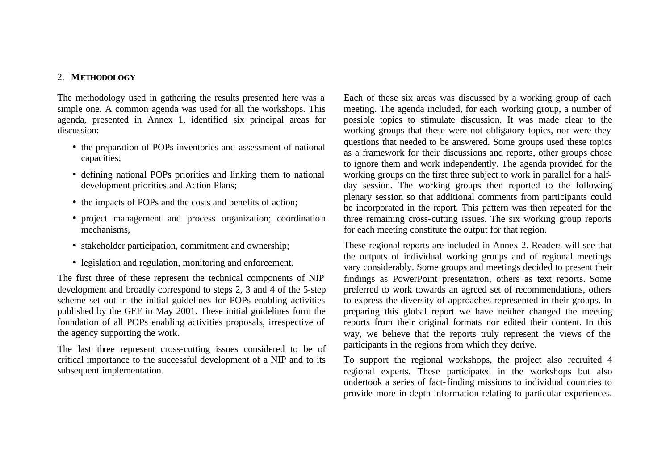#### 2. **METHODOLOGY**

The methodology used in gathering the results presented here was a simple one. A common agenda was used for all the workshops. This agenda, presented in Annex 1, identified six principal areas for discussion:

- the preparation of POPs inventories and assessment of national capacities;
- defining national POPs priorities and linking them to national development priorities and Action Plans;
- the impacts of POPs and the costs and benefits of action;
- project management and process organization; coordination mechanisms,
- stakeholder participation, commitment and ownership;
- legislation and regulation, monitoring and enforcement.

The first three of these represent the technical components of NIP development and broadly correspond to steps 2, 3 and 4 of the 5-step scheme set out in the initial guidelines for POPs enabling activities published by the GEF in May 2001. These initial guidelines form the foundation of all POPs enabling activities proposals, irrespective of the agency supporting the work.

The last three represent cross-cutting issues considered to be of critical importance to the successful development of a NIP and to its subsequent implementation.

Each of these six areas was discussed by a working group of each meeting. The agenda included, for each working group, a number of possible topics to stimulate discussion. It was made clear to the working groups that these were not obligatory topics, nor were they questions that needed to be answered. Some groups used these topics as a framework for their discussions and reports, other groups chose to ignore them and work independently. The agenda provided for the working groups on the first three subject to work in parallel for a halfday session. The working groups then reported to the following plenary session so that additional comments from participants could be incorporated in the report. This pattern was then repeated for the three remaining cross-cutting issues. The six working group reports for each meeting constitute the output for that region.

These regional reports are included in Annex 2. Readers will see that the outputs of individual working groups and of regional meetings vary considerably. Some groups and meetings decided to present their findings as PowerPoint presentation, others as text reports. Some preferred to work towards an agreed set of recommendations, others to express the diversity of approaches represented in their groups. In preparing this global report we have neither changed the meeting reports from their original formats nor edited their content. In this way, we believe that the reports truly represent the views of the participants in the regions from which they derive.

To support the regional workshops, the project also recruited 4 regional experts. These participated in the workshops but also undertook a series of fact-finding missions to individual countries to provide more in-depth information relating to particular experiences.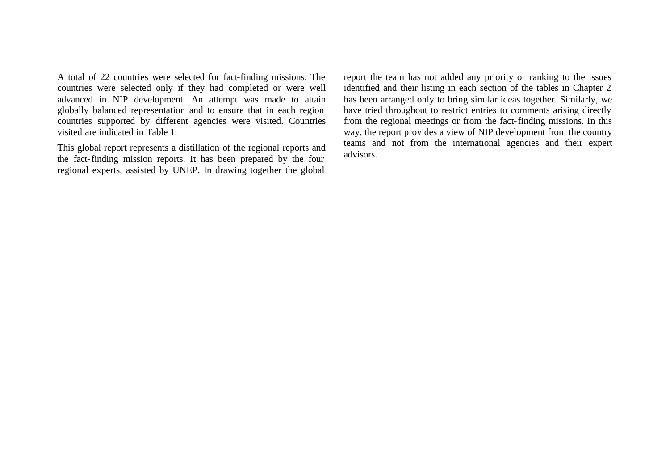A total of 22 countries were selected for fact-finding missions. The countries were selected only if they had completed or were well advanced in NIP development. An attempt was made to attain globally balanced representation and to ensure that in each region countries supported by different agencies were visited. Countries visited are indicated in Table 1.

This global report represents a distillation of the regional reports and the fact-finding mission reports. It has been prepared by the four regional experts, assisted by UNEP. In drawing together the global report the team has not added any priority or ranking to the issues identified and their listing in each section of the tables in Chapter 2 has been arranged only to bring similar ideas together. Similarly, we have tried throughout to restrict entries to comments arising directly from the regional meetings or from the fact-finding missions. In this way, the report provides a view of NIP development from the country teams and not from the international agencies and their expert advisors.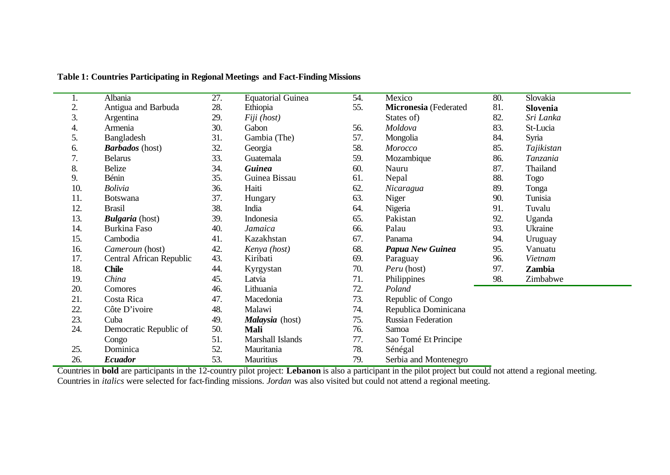| ī.               | Albania                  | $\overline{27}$ . | <b>Equatorial Guinea</b> | 54. | Mexico                | 80. | Slovakia   |
|------------------|--------------------------|-------------------|--------------------------|-----|-----------------------|-----|------------|
| $\overline{2}$ . | Antigua and Barbuda      | 28.               | Ethiopia                 | 55. | Micronesia (Federated | 81. | Slovenia   |
| 3.               | Argentina                | 29.               | Fiji (host)              |     | States of)            | 82. | Sri Lanka  |
| 4.               | Armenia                  | 30.               | Gabon                    | 56. | Moldova               | 83. | St-Lucia   |
| 5.               | Bangladesh               | 31.               | Gambia (The)             | 57. | Mongolia              | 84. | Syria      |
| 6.               | <b>Barbados</b> (host)   | 32.               | Georgia                  | 58. | Morocco               | 85. | Tajikistan |
| 7.               | <b>Belarus</b>           | 33.               | Guatemala                | 59. | Mozambique            | 86. | Tanzania   |
| 8.               | <b>Belize</b>            | 34.               | <b>Guinea</b>            | 60. | Nauru                 | 87. | Thailand   |
| 9.               | Bénin                    | 35.               | Guinea Bissau            | 61. | Nepal                 | 88. | Togo       |
| 10.              | <b>Bolivia</b>           | 36.               | Haiti                    | 62. | Nicaragua             | 89. | Tonga      |
| 11.              | <b>Botswana</b>          | 37.               | Hungary                  | 63. | Niger                 | 90. | Tunisia    |
| 12.              | <b>Brasil</b>            | 38.               | India                    | 64. | Nigeria               | 91. | Tuvalu     |
| 13.              | <b>Bulgaria</b> (host)   | 39.               | Indonesia                | 65. | Pakistan              | 92. | Uganda     |
| 14.              | Burkina Faso             | 40.               | Jamaica                  | 66. | Palau                 | 93. | Ukraine    |
| 15.              | Cambodia                 | 41.               | Kazakhstan               | 67. | Panama                | 94. | Uruguay    |
| 16.              | Cameroun (host)          | 42.               | Kenya (host)             | 68. | Papua New Guinea      | 95. | Vanuatu    |
| 17.              | Central African Republic | 43.               | Kiribati                 | 69. | Paraguay              | 96. | Vietnam    |
| 18.              | <b>Chile</b>             | 44.               | Kyrgystan                | 70. | Peru (host)           | 97. | Zambia     |
| 19.              | China                    | 45.               | Latvia                   | 71. | Philippines           | 98. | Zimbabwe   |
| 20.              | Comores                  | 46.               | Lithuania                | 72. | Poland                |     |            |
| 21.              | Costa Rica               | 47.               | Macedonia                | 73. | Republic of Congo     |     |            |
| 22.              | Côte D'ivoire            | 48.               | Malawi                   | 74. | Republica Dominicana  |     |            |
| 23.              | Cuba                     | 49.               | Malaysia (host)          | 75. | Russian Federation    |     |            |
| 24.              | Democratic Republic of   | 50.               | <b>Mali</b>              | 76. | Samoa                 |     |            |
|                  | Congo                    | 51.               | Marshall Islands         | 77. | Sao Tomé Et Principe  |     |            |
| 25.              | Dominica                 | 52.               | Mauritania               | 78. | Sénégal               |     |            |
| 26.              | <b>Ecuador</b>           | 53.               | Mauritius                | 79. | Serbia and Montenegro |     |            |

### **Table 1: Countries Participating in Regional Meetings and Fact-Finding Missions**

Countries in **bold** are participants in the 12-country pilot project: **Lebanon** is also a participant in the pilot project but could not attend a regional meeting. Countries in *italics* were selected for fact-finding missions. *Jordan* was also visited but could not attend a regional meeting.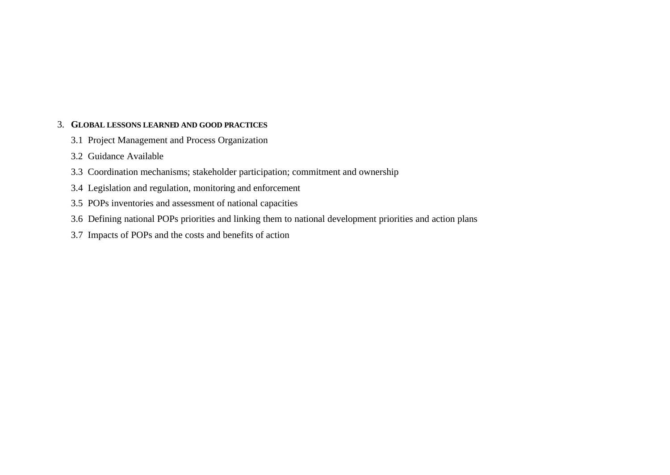#### 3. **GLOBAL LESSONS LEARNED AND GOOD PRACTICES**

- 3.1 Project Management and Process Organization
- 3.2 Guidance Available
- 3.3 Coordination mechanisms; stakeholder participation; commitment and ownership
- 3.4 Legislation and regulation, monitoring and enforcement
- 3.5 POPs inventories and assessment of national capacities
- 3.6 Defining national POPs priorities and linking them to national development priorities and action plans
- 3.7 Impacts of POPs and the costs and benefits of action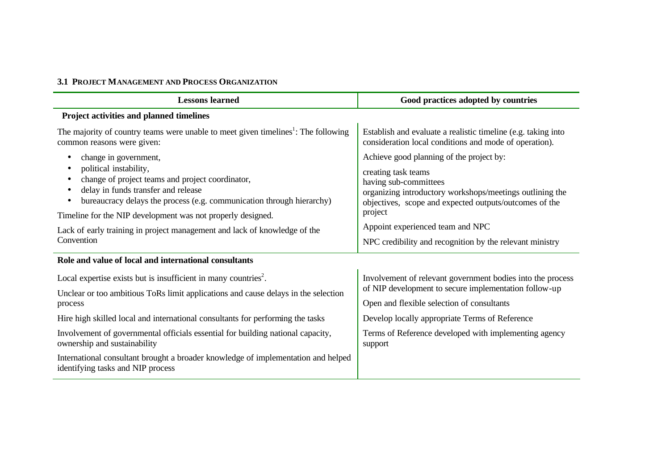### **3.1 PROJECT MANAGEMENT AND PROCESS ORGANIZATION**

| <b>Lessons learned</b>                                                                                                                                                                                                                                                                                                                                                        | Good practices adopted by countries                                                                                                                                                                                                                                                                                       |
|-------------------------------------------------------------------------------------------------------------------------------------------------------------------------------------------------------------------------------------------------------------------------------------------------------------------------------------------------------------------------------|---------------------------------------------------------------------------------------------------------------------------------------------------------------------------------------------------------------------------------------------------------------------------------------------------------------------------|
| Project activities and planned timelines                                                                                                                                                                                                                                                                                                                                      |                                                                                                                                                                                                                                                                                                                           |
| The majority of country teams were unable to meet given timelines <sup>1</sup> : The following<br>common reasons were given:                                                                                                                                                                                                                                                  | Establish and evaluate a realistic timeline (e.g. taking into<br>consideration local conditions and mode of operation).                                                                                                                                                                                                   |
| change in government,<br>political instability,<br>change of project teams and project coordinator,<br>delay in funds transfer and release<br>bureaucracy delays the process (e.g. communication through hierarchy)<br>Timeline for the NIP development was not properly designed.<br>Lack of early training in project management and lack of knowledge of the<br>Convention | Achieve good planning of the project by:<br>creating task teams<br>having sub-committees<br>organizing introductory workshops/meetings outlining the<br>objectives, scope and expected outputs/outcomes of the<br>project<br>Appoint experienced team and NPC<br>NPC credibility and recognition by the relevant ministry |
| Role and value of local and international consultants                                                                                                                                                                                                                                                                                                                         |                                                                                                                                                                                                                                                                                                                           |
| Local expertise exists but is insufficient in many countries <sup>2</sup> .<br>Unclear or too ambitious ToRs limit applications and cause delays in the selection<br>process                                                                                                                                                                                                  | Involvement of relevant government bodies into the process<br>of NIP development to secure implementation follow-up<br>Open and flexible selection of consultants                                                                                                                                                         |
| Hire high skilled local and international consultants for performing the tasks                                                                                                                                                                                                                                                                                                | Develop locally appropriate Terms of Reference                                                                                                                                                                                                                                                                            |
| Involvement of governmental officials essential for building national capacity,<br>ownership and sustainability                                                                                                                                                                                                                                                               | Terms of Reference developed with implementing agency<br>support                                                                                                                                                                                                                                                          |
| International consultant brought a broader knowledge of implementation and helped<br>identifying tasks and NIP process                                                                                                                                                                                                                                                        |                                                                                                                                                                                                                                                                                                                           |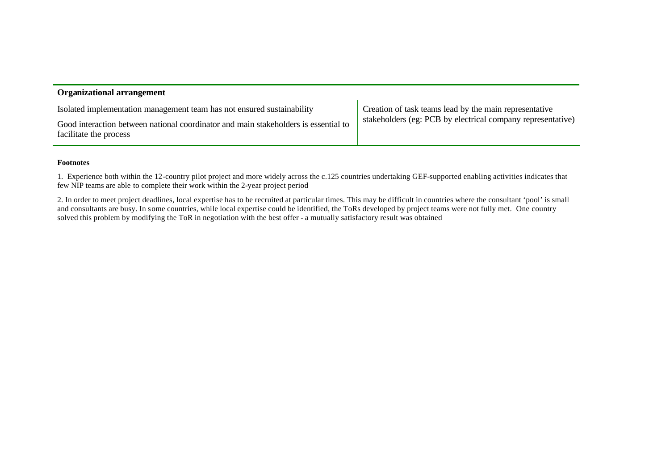| <b>Organizational arrangement</b>                                                                             |                                                             |
|---------------------------------------------------------------------------------------------------------------|-------------------------------------------------------------|
| Isolated implementation management team has not ensured sustainability                                        | Creation of task teams lead by the main representative      |
| Good interaction between national coordinator and main stakeholders is essential to<br>facilitate the process | stakeholders (eg: PCB by electrical company representative) |

#### **Footnotes**

1. Experience both within the 12-country pilot project and more widely across the c.125 countries undertaking GEF-supported enabling activities indicates that few NIP teams are able to complete their work within the 2-year project period

2. In order to meet project deadlines, local expertise has to be recruited at particular times. This may be difficult in countries where the consultant 'pool' is small and consultants are busy. In some countries, while local expertise could be identified, the ToRs developed by project teams were not fully met. One country solved this problem by modifying the ToR in negotiation with the best offer - a mutually satisfactory result was obtained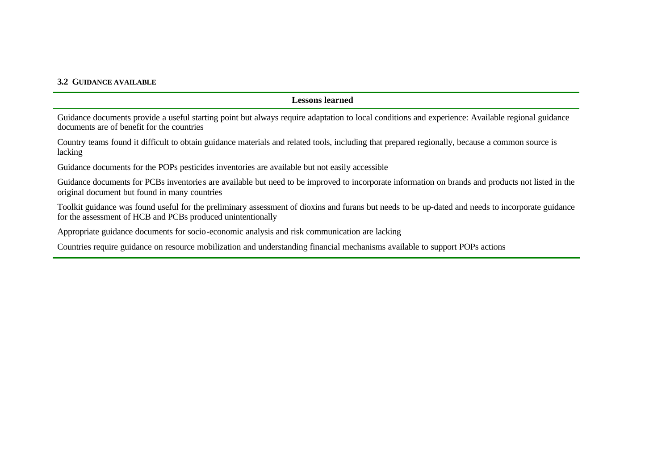#### **3.2 GUIDANCE AVAILABLE**

#### **Lessons learned**

Guidance documents provide a useful starting point but always require adaptation to local conditions and experience: Available regional guidance documents are of benefit for the countries

Country teams found it difficult to obtain guidance materials and related tools, including that prepared regionally, because a common source is lacking

Guidance documents for the POPs pesticides inventories are available but not easily accessible

Guidance documents for PCBs inventories are available but need to be improved to incorporate information on brands and products not listed in the original document but found in many countries

Toolkit guidance was found useful for the preliminary assessment of dioxins and furans but needs to be up-dated and needs to incorporate guidance for the assessment of HCB and PCBs produced unintentionally

Appropriate guidance documents for socio-economic analysis and risk communication are lacking

Countries require guidance on resource mobilization and understanding financial mechanisms available to support POPs actions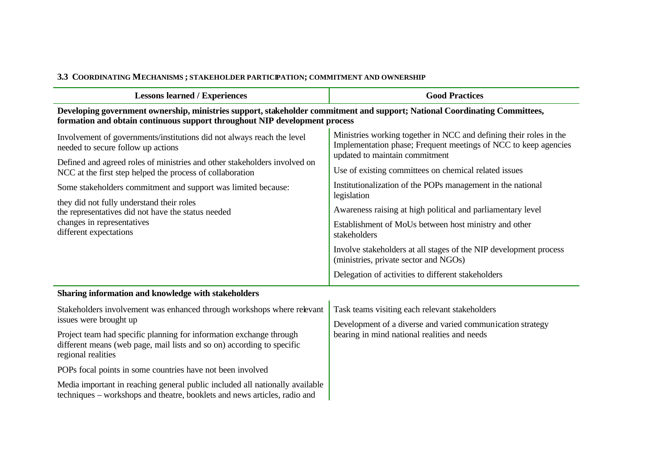### **3.3 COORDINATING MECHANISMS ; STAKEHOLDER PARTICIPATION; COMMITMENT AND OWNERSHIP**

| <b>Lessons learned / Experiences</b>                                                                                                                                                                     | <b>Good Practices</b>                                                                                                                                                   |  |
|----------------------------------------------------------------------------------------------------------------------------------------------------------------------------------------------------------|-------------------------------------------------------------------------------------------------------------------------------------------------------------------------|--|
| Developing government ownership, ministries support, stakeholder commitment and support; National Coordinating Committees,<br>formation and obtain continuous support throughout NIP development process |                                                                                                                                                                         |  |
| Involvement of governments/institutions did not always reach the level<br>needed to secure follow up actions                                                                                             | Ministries working together in NCC and defining their roles in the<br>Implementation phase; Frequent meetings of NCC to keep agencies<br>updated to maintain commitment |  |
| Defined and agreed roles of ministries and other stakeholders involved on<br>NCC at the first step helped the process of collaboration                                                                   | Use of existing committees on chemical related issues                                                                                                                   |  |
| Some stakeholders commitment and support was limited because:                                                                                                                                            | Institutionalization of the POPs management in the national<br>legislation                                                                                              |  |
| they did not fully understand their roles<br>the representatives did not have the status needed                                                                                                          | Awareness raising at high political and parliamentary level                                                                                                             |  |
| changes in representatives<br>different expectations                                                                                                                                                     | Establishment of MoUs between host ministry and other<br>stakeholders                                                                                                   |  |
|                                                                                                                                                                                                          | Involve stakeholders at all stages of the NIP development process<br>(ministries, private sector and NGOs)                                                              |  |
|                                                                                                                                                                                                          | Delegation of activities to different stakeholders                                                                                                                      |  |
| Sharing information and knowledge with stakeholders                                                                                                                                                      |                                                                                                                                                                         |  |
| Stakeholders involvement was enhanced through workshops where relevant                                                                                                                                   | Task teams visiting each relevant stakeholders                                                                                                                          |  |
| issues were brought up                                                                                                                                                                                   | Development of a diverse and varied communication strategy                                                                                                              |  |
| Project team had specific planning for information exchange through<br>different means (web page, mail lists and so on) according to specific<br>regional realities                                      | bearing in mind national realities and needs                                                                                                                            |  |
| POPs focal points in some countries have not been involved                                                                                                                                               |                                                                                                                                                                         |  |
| Media important in reaching general public included all nationally available<br>techniques - workshops and theatre, booklets and news articles, radio and                                                |                                                                                                                                                                         |  |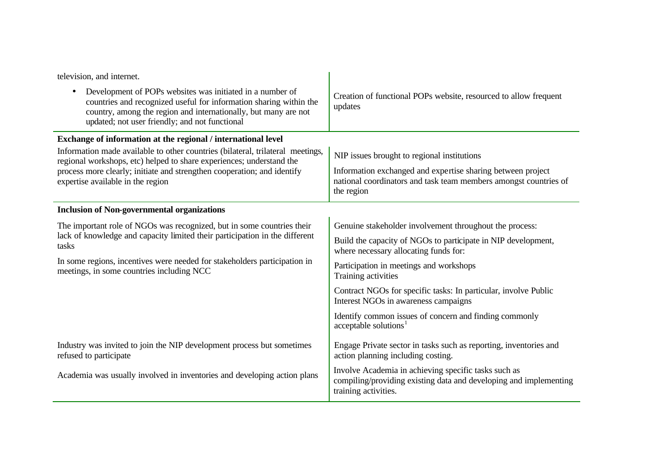| television, and internet.                                                                                                                                                                                                                                         |                                                                                                                                                   |
|-------------------------------------------------------------------------------------------------------------------------------------------------------------------------------------------------------------------------------------------------------------------|---------------------------------------------------------------------------------------------------------------------------------------------------|
| Development of POPs websites was initiated in a number of<br>$\bullet$<br>countries and recognized useful for information sharing within the<br>country, among the region and internationally, but many are not<br>updated; not user friendly; and not functional | Creation of functional POPs website, resourced to allow frequent<br>updates                                                                       |
| Exchange of information at the regional / international level                                                                                                                                                                                                     |                                                                                                                                                   |
| Information made available to other countries (bilateral, trilateral meetings,<br>regional workshops, etc) helped to share experiences; understand the                                                                                                            | NIP issues brought to regional institutions                                                                                                       |
| process more clearly; initiate and strengthen cooperation; and identify<br>expertise available in the region                                                                                                                                                      | Information exchanged and expertise sharing between project<br>national coordinators and task team members amongst countries of<br>the region     |
| <b>Inclusion of Non-governmental organizations</b>                                                                                                                                                                                                                |                                                                                                                                                   |
| The important role of NGOs was recognized, but in some countries their                                                                                                                                                                                            | Genuine stakeholder involvement throughout the process:                                                                                           |
| lack of knowledge and capacity limited their participation in the different<br>tasks<br>In some regions, incentives were needed for stakeholders participation in<br>meetings, in some countries including NCC                                                    | Build the capacity of NGOs to participate in NIP development,<br>where necessary allocating funds for:                                            |
|                                                                                                                                                                                                                                                                   | Participation in meetings and workshops<br>Training activities                                                                                    |
|                                                                                                                                                                                                                                                                   | Contract NGOs for specific tasks: In particular, involve Public<br>Interest NGOs in awareness campaigns                                           |
|                                                                                                                                                                                                                                                                   | Identify common issues of concern and finding commonly<br>acceptable solutions <sup>1</sup>                                                       |
| Industry was invited to join the NIP development process but sometimes<br>refused to participate                                                                                                                                                                  | Engage Private sector in tasks such as reporting, inventories and<br>action planning including costing.                                           |
| Academia was usually involved in inventories and developing action plans                                                                                                                                                                                          | Involve Academia in achieving specific tasks such as<br>compiling/providing existing data and developing and implementing<br>training activities. |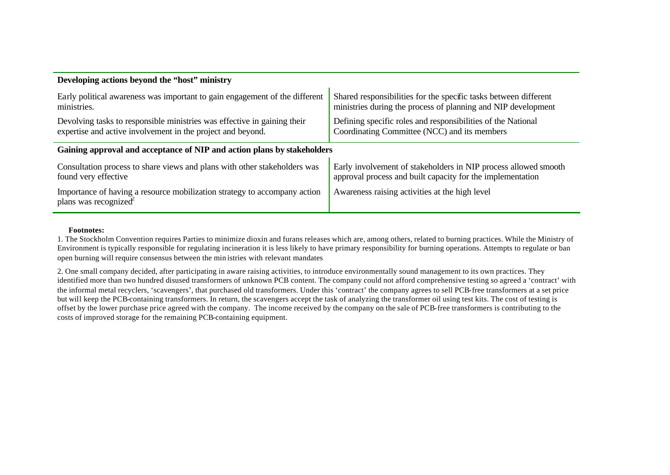| Developing actions beyond the "host" ministry                                                                  |                                                                  |  |  |
|----------------------------------------------------------------------------------------------------------------|------------------------------------------------------------------|--|--|
| Early political awareness was important to gain engagement of the different                                    | Shared responsibilities for the specific tasks between different |  |  |
| ministries.                                                                                                    | ministries during the process of planning and NIP development    |  |  |
| Devolving tasks to responsible ministries was effective in gaining their                                       | Defining specific roles and responsibilities of the National     |  |  |
| expertise and active involvement in the project and beyond.                                                    | Coordinating Committee (NCC) and its members                     |  |  |
| Gaining approval and acceptance of NIP and action plans by stakeholders                                        |                                                                  |  |  |
| Consultation process to share views and plans with other stakeholders was                                      | Early involvement of stakeholders in NIP process allowed smooth  |  |  |
| found very effective                                                                                           | approval process and built capacity for the implementation       |  |  |
| Importance of having a resource mobilization strategy to accompany action<br>plans was recognized <sup>2</sup> | Awareness raising activities at the high level                   |  |  |

#### **Footnotes:**

1. The Stockholm Convention requires Parties to minimize dioxin and furans releases which are, among others, related to burning practices. While the Ministry of Environment is typically responsible for regulating incineration it is less likely to have primary responsibility for burning operations. Attempts to regulate or ban open burning will require consensus between the min istries with relevant mandates

2. One small company decided, after participating in aware raising activities, to introduce environmentally sound management to its own practices. They identified more than two hundred disused transformers of unknown PCB content. The company could not afford comprehensive testing so agreed a 'contract' with the informal metal recyclers, 'scavengers', that purchased old transformers. Under this 'contract' the company agrees to sell PCB-free transformers at a set price but will keep the PCB-containing transformers. In return, the scavengers accept the task of analyzing the transformer oil using test kits. The cost of testing is offset by the lower purchase price agreed with the company. The income received by the company on the sale of PCB-free transformers is contributing to the costs of improved storage for the remaining PCB-containing equipment.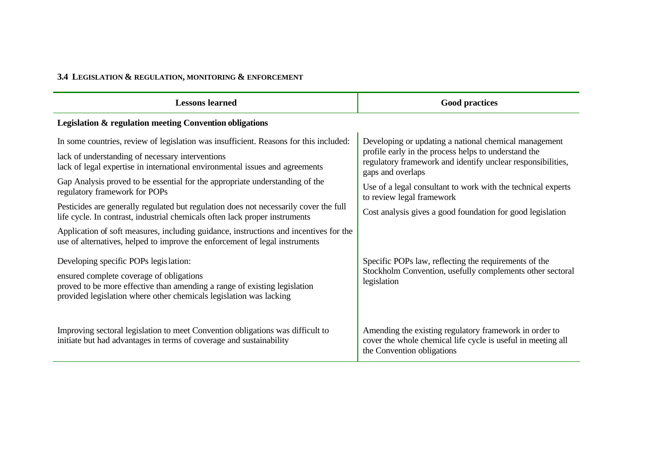## **3.4 LEGISLATION & REGULATION, MONITORING & ENFORCEMENT**

| <b>Lessons learned</b>                                                                                                                                                                                                                                                                                                                       | <b>Good practices</b>                                                                                                                                                                                                                                                                          |
|----------------------------------------------------------------------------------------------------------------------------------------------------------------------------------------------------------------------------------------------------------------------------------------------------------------------------------------------|------------------------------------------------------------------------------------------------------------------------------------------------------------------------------------------------------------------------------------------------------------------------------------------------|
| Legislation & regulation meeting Convention obligations                                                                                                                                                                                                                                                                                      |                                                                                                                                                                                                                                                                                                |
| In some countries, review of legislation was insufficient. Reasons for this included:<br>lack of understanding of necessary interventions<br>lack of legal expertise in international environmental issues and agreements<br>Gap Analysis proved to be essential for the appropriate understanding of the<br>regulatory framework for POPs   | Developing or updating a national chemical management<br>profile early in the process helps to understand the<br>regulatory framework and identify unclear responsibilities,<br>gaps and overlaps<br>Use of a legal consultant to work with the technical experts<br>to review legal framework |
| Pesticides are generally regulated but regulation does not necessarily cover the full<br>life cycle. In contrast, industrial chemicals often lack proper instruments<br>Application of soft measures, including guidance, instructions and incentives for the<br>use of alternatives, helped to improve the enforcement of legal instruments | Cost analysis gives a good foundation for good legislation                                                                                                                                                                                                                                     |
| Developing specific POPs legis lation:<br>ensured complete coverage of obligations<br>proved to be more effective than amending a range of existing legislation<br>provided legislation where other chemicals legislation was lacking                                                                                                        | Specific POPs law, reflecting the requirements of the<br>Stockholm Convention, usefully complements other sectoral<br>legislation                                                                                                                                                              |
| Improving sectoral legislation to meet Convention obligations was difficult to<br>initiate but had advantages in terms of coverage and sustainability                                                                                                                                                                                        | Amending the existing regulatory framework in order to<br>cover the whole chemical life cycle is useful in meeting all<br>the Convention obligations                                                                                                                                           |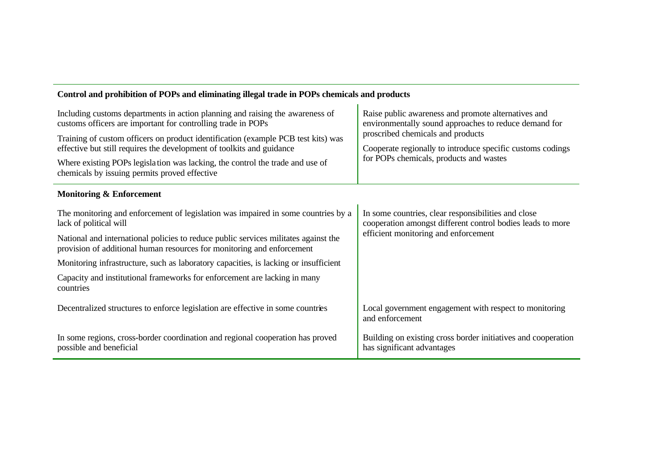| Including customs departments in action planning and raising the awareness of<br>customs officers are important for controlling trade in POPs                 | Raise public awareness and promote alternatives and<br>environmentally sound approaches to reduce demand for<br>proscribed chemicals and products |  |
|---------------------------------------------------------------------------------------------------------------------------------------------------------------|---------------------------------------------------------------------------------------------------------------------------------------------------|--|
| Training of custom officers on product identification (example PCB test kits) was<br>effective but still requires the development of toolkits and guidance    | Cooperate regionally to introduce specific customs codings                                                                                        |  |
| Where existing POPs legislation was lacking, the control the trade and use of<br>chemicals by issuing permits proved effective                                | for POPs chemicals, products and wastes                                                                                                           |  |
| <b>Monitoring &amp; Enforcement</b>                                                                                                                           |                                                                                                                                                   |  |
| The monitoring and enforcement of legislation was impaired in some countries by a<br>lack of political will                                                   | In some countries, clear responsibilities and close<br>cooperation amongst different control bodies leads to more                                 |  |
| National and international policies to reduce public services militates against the<br>provision of additional human resources for monitoring and enforcement | efficient monitoring and enforcement                                                                                                              |  |
| Monitoring infrastructure, such as laboratory capacities, is lacking or insufficient                                                                          |                                                                                                                                                   |  |
| Capacity and institutional frameworks for enforcement are lacking in many<br>countries                                                                        |                                                                                                                                                   |  |
| Decentralized structures to enforce legislation are effective in some countries                                                                               | Local government engagement with respect to monitoring<br>and enforcement                                                                         |  |
| In some regions, cross-border coordination and regional cooperation has proved<br>possible and beneficial                                                     | Building on existing cross border initiatives and cooperation<br>has significant advantages                                                       |  |

Ĭ.

## **Control and prohibition of POPs and eliminating illegal trade in POPs chemicals and products**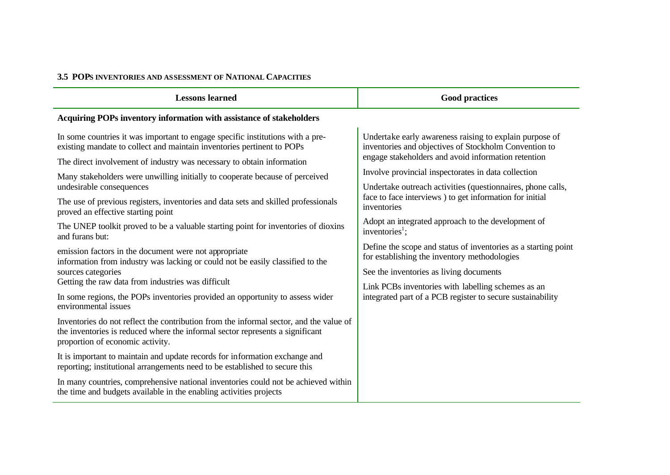### **3.5 POPS INVENTORIES AND ASSESSMENT OF NATIONAL CAPACITIES**

| <b>Lessons learned</b>                                                                                                                                                                                      | <b>Good practices</b>                                                                                            |
|-------------------------------------------------------------------------------------------------------------------------------------------------------------------------------------------------------------|------------------------------------------------------------------------------------------------------------------|
| Acquiring POPs inventory information with assistance of stakeholders                                                                                                                                        |                                                                                                                  |
| In some countries it was important to engage specific institutions with a pre-<br>existing mandate to collect and maintain inventories pertinent to POPs                                                    | Undertake early awareness raising to explain purpose of<br>inventories and objectives of Stockholm Convention to |
| The direct involvement of industry was necessary to obtain information                                                                                                                                      | engage stakeholders and avoid information retention                                                              |
| Many stakeholders were unwilling initially to cooperate because of perceived                                                                                                                                | Involve provincial inspectorates in data collection                                                              |
| undesirable consequences                                                                                                                                                                                    | Undertake outreach activities (questionnaires, phone calls,                                                      |
| The use of previous registers, inventories and data sets and skilled professionals<br>proved an effective starting point                                                                                    | face to face interviews ) to get information for initial<br>inventories                                          |
| The UNEP toolkit proved to be a valuable starting point for inventories of dioxins<br>and furans but:                                                                                                       | Adopt an integrated approach to the development of<br>inventories <sup>1</sup> ;                                 |
| emission factors in the document were not appropriate<br>information from industry was lacking or could not be easily classified to the                                                                     | Define the scope and status of inventories as a starting point<br>for establishing the inventory methodologies   |
| sources categories                                                                                                                                                                                          | See the inventories as living documents                                                                          |
| Getting the raw data from industries was difficult                                                                                                                                                          | Link PCBs inventories with labelling schemes as an                                                               |
| In some regions, the POPs inventories provided an opportunity to assess wider<br>environmental issues                                                                                                       | integrated part of a PCB register to secure sustainability                                                       |
| Inventories do not reflect the contribution from the informal sector, and the value of<br>the inventories is reduced where the informal sector represents a significant<br>proportion of economic activity. |                                                                                                                  |
| It is important to maintain and update records for information exchange and<br>reporting; institutional arrangements need to be established to secure this                                                  |                                                                                                                  |
| In many countries, comprehensive national inventories could not be achieved within<br>the time and budgets available in the enabling activities projects                                                    |                                                                                                                  |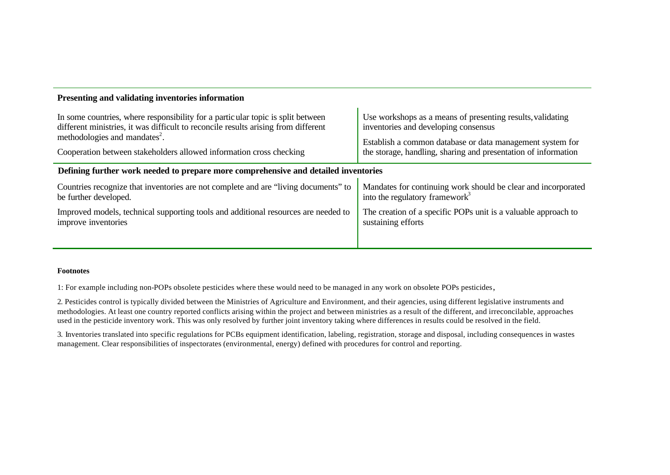| In some countries, where responsibility for a particular topic is split between     | Use workshops as a means of presenting results, validating     |  |
|-------------------------------------------------------------------------------------|----------------------------------------------------------------|--|
| different ministries, it was difficult to reconcile results arising from different  | inventories and developing consensus                           |  |
| methodologies and mandates <sup>2</sup> .                                           | Establish a common database or data management system for      |  |
| Cooperation between stakeholders allowed information cross checking                 | the storage, handling, sharing and presentation of information |  |
| Defining further work needed to prepare more comprehensive and detailed inventories |                                                                |  |
| Countries recognize that inventories are not complete and are "living documents" to | Mandates for continuing work should be clear and incorporated  |  |
| be further developed.                                                               | into the regulatory framework <sup>3</sup>                     |  |
| Improved models, technical supporting tools and additional resources are needed to  | The creation of a specific POPs unit is a valuable approach to |  |
| improve inventories                                                                 | sustaining efforts                                             |  |

#### **Footnotes**

**Presenting and validating inventories information**

1: For example including non-POPs obsolete pesticides where these would need to be managed in any work on obsolete POPs pesticides,

2. Pesticides control is typically divided between the Ministries of Agriculture and Environment, and their agencies, using different legislative instruments and methodologies. At least one country reported conflicts arising within the project and between ministries as a result of the different, and irreconcilable, approaches used in the pesticide inventory work. This was only resolved by further joint inventory taking where differences in results could be resolved in the field.

3. Inventories translated into specific regulations for PCBs equipment identification, labeling, registration, storage and disposal, including consequences in wastes management. Clear responsibilities of inspectorates (environmental, energy) defined with procedures for control and reporting.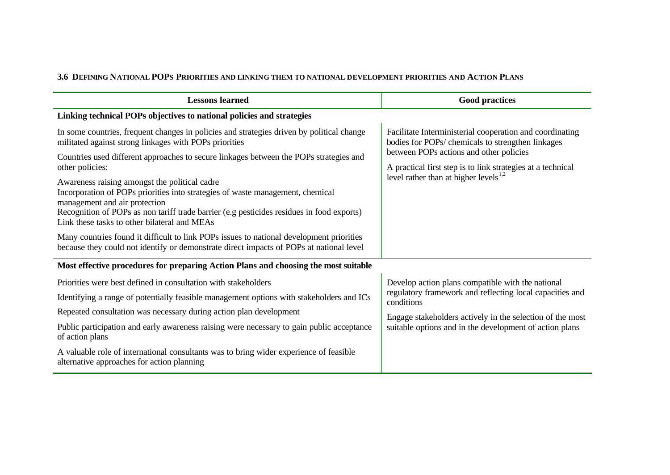## **3.6 DEFINING NATIONAL POPS PRIORITIES AND LINKING THEM TO NATIONAL DEVELOPMENT PRIORITIES AND ACTION PLANS**

| <b>Lessons learned</b>                                                                                                                                                                                                                                                                                                                           | <b>Good practices</b>                                                                                                                                                                                                                               |
|--------------------------------------------------------------------------------------------------------------------------------------------------------------------------------------------------------------------------------------------------------------------------------------------------------------------------------------------------|-----------------------------------------------------------------------------------------------------------------------------------------------------------------------------------------------------------------------------------------------------|
| Linking technical POPs objectives to national policies and strategies                                                                                                                                                                                                                                                                            |                                                                                                                                                                                                                                                     |
| In some countries, frequent changes in policies and strategies driven by political change<br>militated against strong linkages with POPs priorities                                                                                                                                                                                              | Facilitate Interministerial cooperation and coordinating<br>bodies for POPs/ chemicals to strengthen linkages                                                                                                                                       |
| Countries used different approaches to secure linkages between the POPs strategies and<br>other policies:                                                                                                                                                                                                                                        | between POPs actions and other policies<br>A practical first step is to link strategies at a technical<br>level rather than at higher levels $^{1,2}$                                                                                               |
| Awareness raising amongst the political cadre<br>Incorporation of POPs priorities into strategies of waste management, chemical<br>management and air protection<br>Recognition of POPs as non tariff trade barrier (e.g pesticides residues in food exports)<br>Link these tasks to other bilateral and MEAs                                    |                                                                                                                                                                                                                                                     |
| Many countries found it difficult to link POPs issues to national development priorities<br>because they could not identify or demonstrate direct impacts of POPs at national level                                                                                                                                                              |                                                                                                                                                                                                                                                     |
| Most effective procedures for preparing Action Plans and choosing the most suitable                                                                                                                                                                                                                                                              |                                                                                                                                                                                                                                                     |
| Priorities were best defined in consultation with stakeholders<br>Identifying a range of potentially feasible management options with stakeholders and ICs<br>Repeated consultation was necessary during action plan development<br>Public participation and early awareness raising were necessary to gain public acceptance<br>of action plans | Develop action plans compatible with the national<br>regulatory framework and reflecting local capacities and<br>conditions<br>Engage stakeholders actively in the selection of the most<br>suitable options and in the development of action plans |
| A valuable role of international consultants was to bring wider experience of feasible<br>alternative approaches for action planning                                                                                                                                                                                                             |                                                                                                                                                                                                                                                     |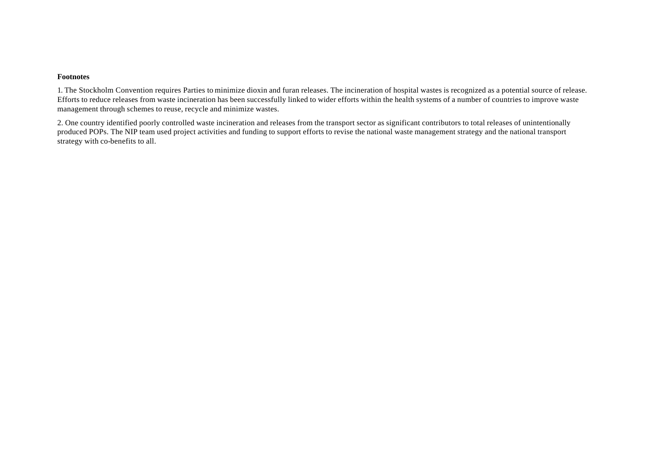#### **Footnotes**

1. The Stockholm Convention requires Parties to minimize dioxin and furan releases. The incineration of hospital wastes is recognized as a potential source of release. Efforts to reduce releases from waste incineration has been successfully linked to wider efforts within the health systems of a number of countries to improve waste management through schemes to reuse, recycle and minimize wastes.

2. One country identified poorly controlled waste incineration and releases from the transport sector as significant contributors to total releases of unintentionally produced POPs. The NIP team used project activities and funding to support efforts to revise the national waste management strategy and the national transport strategy with co-benefits to all.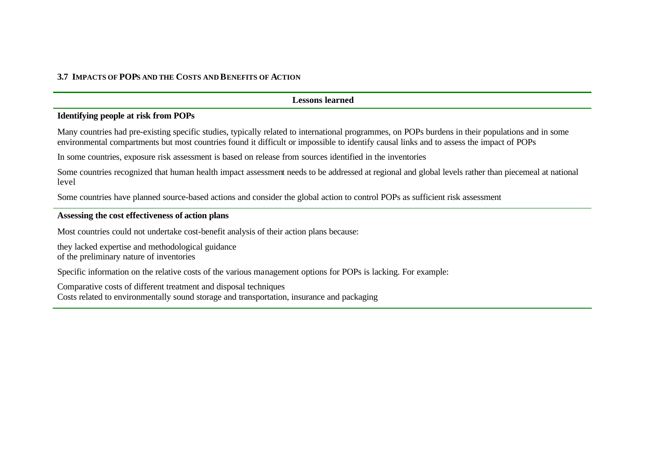#### **3.7 IMPACTS OF POPS AND THE COSTS AND BENEFITS OF ACTION**

#### **Lessons learned**

#### **Identifying people at risk from POPs**

Many countries had pre-existing specific studies, typically related to international programmes, on POPs burdens in their populations and in some environmental compartments but most countries found it difficult or impossible to identify causal links and to assess the impact of POPs

In some countries, exposure risk assessment is based on release from sources identified in the inventories

Some countries recognized that human health impact assessment needs to be addressed at regional and global levels rather than piecemeal at national level

Some countries have planned source-based actions and consider the global action to control POPs as sufficient risk assessment

#### **Assessing the cost effectiveness of action plans**

Most countries could not undertake cost-benefit analysis of their action plans because:

they lacked expertise and methodological guidance of the preliminary nature of inventories

Specific information on the relative costs of the various management options for POPs is lacking. For example:

Comparative costs of different treatment and disposal techniques Costs related to environmentally sound storage and transportation, insurance and packaging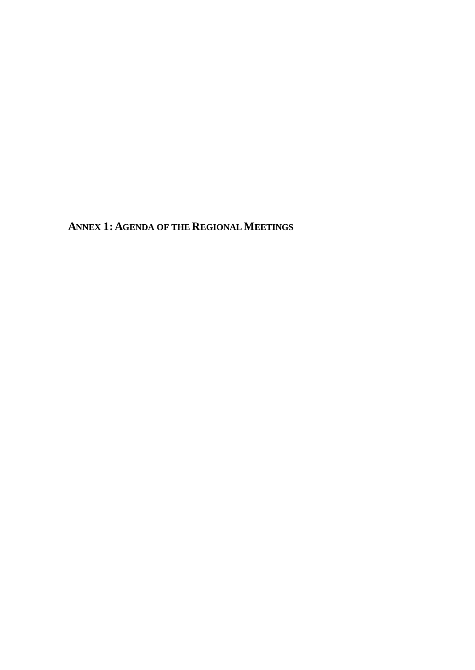**ANNEX 1:AGENDA OF THE REGIONALMEETINGS**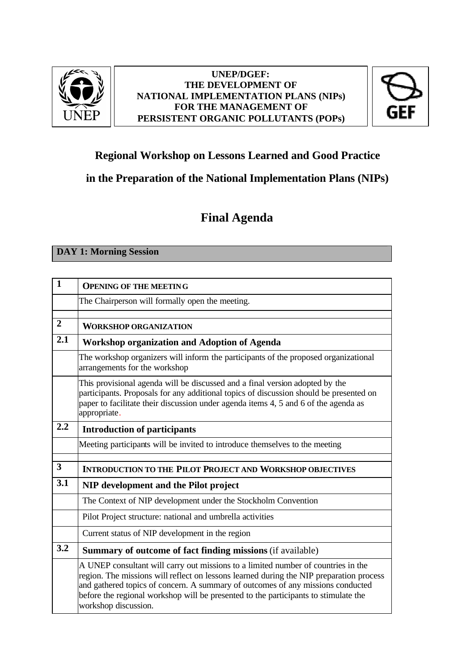

### **UNEP/DGEF: THE DEVELOPMENT OF NATIONAL IMPLEMENTATION PLANS (NIPs) FOR THE MANAGEMENT OF PERSISTENT ORGANIC POLLUTANTS (POPs)**



## **Regional Workshop on Lessons Learned and Good Practice**

## **in the Preparation of the National Implementation Plans (NIPs)**

## **Final Agenda**

**DAY 1: Morning Session**

| $\mathbf{1}$   | <b>OPENING OF THE MEETING</b>                                                                                                                                                                                                                                                                                                                                                  |
|----------------|--------------------------------------------------------------------------------------------------------------------------------------------------------------------------------------------------------------------------------------------------------------------------------------------------------------------------------------------------------------------------------|
|                | The Chairperson will formally open the meeting.                                                                                                                                                                                                                                                                                                                                |
|                |                                                                                                                                                                                                                                                                                                                                                                                |
| $\overline{2}$ | <b>WORKSHOP ORGANIZATION</b>                                                                                                                                                                                                                                                                                                                                                   |
| 2.1            | <b>Workshop organization and Adoption of Agenda</b>                                                                                                                                                                                                                                                                                                                            |
|                | The workshop organizers will inform the participants of the proposed organizational<br>arrangements for the workshop                                                                                                                                                                                                                                                           |
|                | This provisional agenda will be discussed and a final version adopted by the<br>participants. Proposals for any additional topics of discussion should be presented on<br>paper to facilitate their discussion under agenda items 4, 5 and 6 of the agenda as<br>appropriate.                                                                                                  |
| 2.2            | <b>Introduction of participants</b>                                                                                                                                                                                                                                                                                                                                            |
|                | Meeting participants will be invited to introduce themselves to the meeting                                                                                                                                                                                                                                                                                                    |
|                |                                                                                                                                                                                                                                                                                                                                                                                |
| 3              | <b>INTRODUCTION TO THE PILOT PROJECT AND WORKSHOP OBJECTIVES</b>                                                                                                                                                                                                                                                                                                               |
| 3.1            | NIP development and the Pilot project                                                                                                                                                                                                                                                                                                                                          |
|                | The Context of NIP development under the Stockholm Convention                                                                                                                                                                                                                                                                                                                  |
|                | Pilot Project structure: national and umbrella activities                                                                                                                                                                                                                                                                                                                      |
|                | Current status of NIP development in the region                                                                                                                                                                                                                                                                                                                                |
| 3.2            | Summary of outcome of fact finding missions (if available)                                                                                                                                                                                                                                                                                                                     |
|                | A UNEP consultant will carry out missions to a limited number of countries in the<br>region. The missions will reflect on lessons learned during the NIP preparation process<br>and gathered topics of concern. A summary of outcomes of any missions conducted<br>before the regional workshop will be presented to the participants to stimulate the<br>workshop discussion. |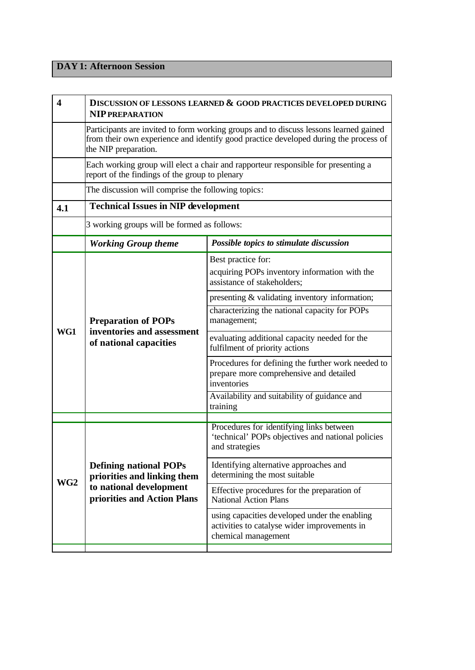## **DAY 1: Afternoon Session**

| 4               | DISCUSSION OF LESSONS LEARNED & GOOD PRACTICES DEVELOPED DURING<br><b>NIP PREPARATION</b>                                                                                                             |                                                                                                                      |
|-----------------|-------------------------------------------------------------------------------------------------------------------------------------------------------------------------------------------------------|----------------------------------------------------------------------------------------------------------------------|
|                 | Participants are invited to form working groups and to discuss lessons learned gained<br>from their own experience and identify good practice developed during the process of<br>the NIP preparation. |                                                                                                                      |
|                 | Each working group will elect a chair and rapporteur responsible for presenting a<br>report of the findings of the group to plenary                                                                   |                                                                                                                      |
|                 | The discussion will comprise the following topics:                                                                                                                                                    |                                                                                                                      |
| 4.1             | <b>Technical Issues in NIP development</b>                                                                                                                                                            |                                                                                                                      |
|                 | 3 working groups will be formed as follows:                                                                                                                                                           |                                                                                                                      |
|                 | <b>Working Group theme</b>                                                                                                                                                                            | Possible topics to stimulate discussion                                                                              |
|                 | <b>Preparation of POPs</b><br>inventories and assessment<br>of national capacities                                                                                                                    | Best practice for:<br>acquiring POPs inventory information with the<br>assistance of stakeholders;                   |
|                 |                                                                                                                                                                                                       | presenting & validating inventory information;                                                                       |
| WG1             |                                                                                                                                                                                                       | characterizing the national capacity for POPs<br>management;                                                         |
|                 |                                                                                                                                                                                                       | evaluating additional capacity needed for the<br>fulfilment of priority actions                                      |
|                 |                                                                                                                                                                                                       | Procedures for defining the further work needed to<br>prepare more comprehensive and detailed<br>inventories         |
|                 |                                                                                                                                                                                                       | Availability and suitability of guidance and<br>training                                                             |
|                 |                                                                                                                                                                                                       | Procedures for identifying links between                                                                             |
| WG <sub>2</sub> | <b>Defining national POPs</b><br>priorities and linking them<br>to national development<br>priorities and Action Plans                                                                                | 'technical' POPs objectives and national policies<br>and strategies                                                  |
|                 |                                                                                                                                                                                                       | Identifying alternative approaches and<br>determining the most suitable                                              |
|                 |                                                                                                                                                                                                       | Effective procedures for the preparation of<br><b>National Action Plans</b>                                          |
|                 |                                                                                                                                                                                                       | using capacities developed under the enabling<br>activities to catalyse wider improvements in<br>chemical management |
|                 |                                                                                                                                                                                                       |                                                                                                                      |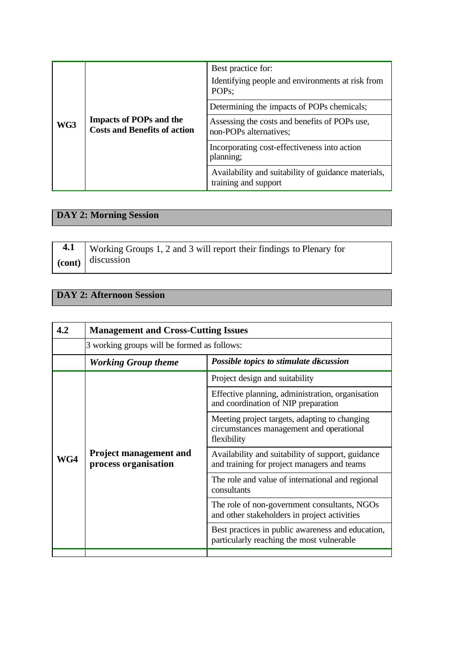| WG3 | <b>Impacts of POPs and the</b><br><b>Costs and Benefits of action</b> | Best practice for:<br>Identifying people and environments at risk from<br>POP <sub>s</sub> ; |
|-----|-----------------------------------------------------------------------|----------------------------------------------------------------------------------------------|
|     |                                                                       | Determining the impacts of POPs chemicals;                                                   |
|     |                                                                       | Assessing the costs and benefits of POPs use,<br>non-POPs alternatives;                      |
|     |                                                                       | Incorporating cost-effectiveness into action<br>planning;                                    |
|     |                                                                       | Availability and suitability of guidance materials,<br>training and support                  |

## **DAY 2: Morning Session**

| 4.1   Working Groups 1, 2 and 3 will report their findings to Plenary for |
|---------------------------------------------------------------------------|
| $\alpha$ (cont) discussion                                                |

## **DAY 2: Afternoon Session**

| 4.2 | <b>Management and Cross-Cutting Issues</b>            |                                                                                                          |
|-----|-------------------------------------------------------|----------------------------------------------------------------------------------------------------------|
|     | 3 working groups will be formed as follows:           |                                                                                                          |
|     | <b>Working Group theme</b>                            | Possible topics to stimulate discussion                                                                  |
|     | <b>Project management and</b><br>process organisation | Project design and suitability                                                                           |
| WG4 |                                                       | Effective planning, administration, organisation<br>and coordination of NIP preparation                  |
|     |                                                       | Meeting project targets, adapting to changing<br>circumstances management and operational<br>flexibility |
|     |                                                       | Availability and suitability of support, guidance<br>and training for project managers and teams         |
|     |                                                       | The role and value of international and regional<br>consultants                                          |
|     |                                                       | The role of non-government consultants, NGOs<br>and other stakeholders in project activities             |
|     |                                                       | Best practices in public awareness and education,<br>particularly reaching the most vulnerable           |
|     |                                                       |                                                                                                          |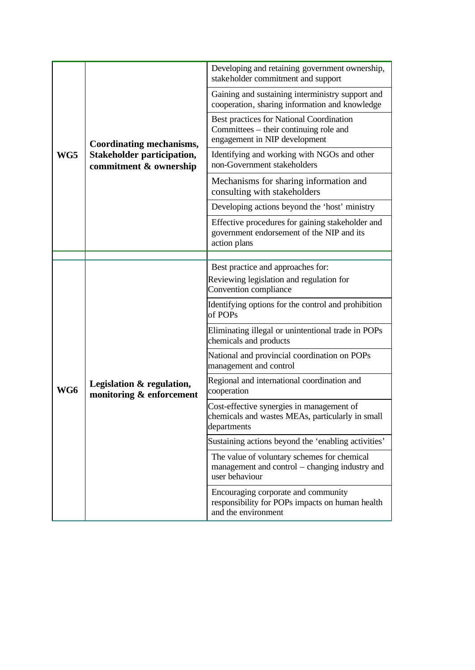| WG5 | Coordinating mechanisms,<br><b>Stakeholder participation,</b><br>commitment & ownership | Developing and retaining government ownership,<br>stakeholder commitment and support                                |
|-----|-----------------------------------------------------------------------------------------|---------------------------------------------------------------------------------------------------------------------|
|     |                                                                                         | Gaining and sustaining interministry support and<br>cooperation, sharing information and knowledge                  |
|     |                                                                                         | Best practices for National Coordination<br>Committees – their continuing role and<br>engagement in NIP development |
|     |                                                                                         | Identifying and working with NGOs and other<br>non-Government stakeholders                                          |
|     |                                                                                         | Mechanisms for sharing information and<br>consulting with stakeholders                                              |
|     |                                                                                         | Developing actions beyond the 'host' ministry                                                                       |
|     |                                                                                         | Effective procedures for gaining stakeholder and<br>government endorsement of the NIP and its<br>action plans       |
|     |                                                                                         |                                                                                                                     |
|     | Legislation & regulation,<br>monitoring & enforcement                                   | Best practice and approaches for:<br>Reviewing legislation and regulation for<br>Convention compliance              |
|     |                                                                                         | Identifying options for the control and prohibition<br>of POPs                                                      |
|     |                                                                                         | Eliminating illegal or unintentional trade in POPs<br>chemicals and products                                        |
|     |                                                                                         | National and provincial coordination on POPs<br>management and control                                              |
| WG6 |                                                                                         | Regional and international coordination and<br>cooperation                                                          |
|     |                                                                                         | Cost-effective synergies in management of<br>chemicals and wastes MEAs, particularly in small<br>departments        |
|     |                                                                                         | Sustaining actions beyond the 'enabling activities'                                                                 |
|     |                                                                                         | The value of voluntary schemes for chemical<br>management and control – changing industry and<br>user behaviour     |
|     |                                                                                         | Encouraging corporate and community<br>responsibility for POPs impacts on human health<br>and the environment       |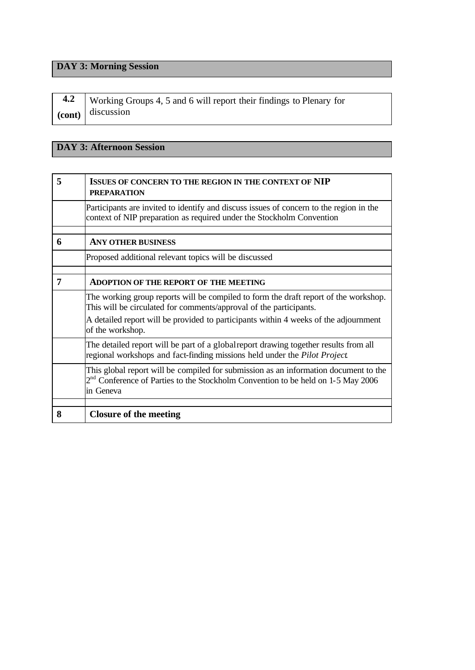## **DAY 3: Morning Session**

| 4.2   Working Groups 4, 5 and 6 will report their findings to Plenary for |
|---------------------------------------------------------------------------|
| $\alpha$ (cont) discussion                                                |

## **DAY 3: Afternoon Session**

| 5 | <b>ISSUES OF CONCERN TO THE REGION IN THE CONTEXT OF NIP</b><br><b>PREPARATION</b>                                                                                                      |
|---|-----------------------------------------------------------------------------------------------------------------------------------------------------------------------------------------|
|   | Participants are invited to identify and discuss issues of concern to the region in the<br>context of NIP preparation as required under the Stockholm Convention                        |
| 6 | <b>ANY OTHER BUSINESS</b>                                                                                                                                                               |
|   | Proposed additional relevant topics will be discussed                                                                                                                                   |
|   |                                                                                                                                                                                         |
| 7 | <b>ADOPTION OF THE REPORT OF THE MEETING</b>                                                                                                                                            |
|   | The working group reports will be compiled to form the draft report of the workshop.<br>This will be circulated for comments/approval of the participants.                              |
|   | A detailed report will be provided to participants within 4 weeks of the adjournment<br>of the workshop.                                                                                |
|   | The detailed report will be part of a global report drawing together results from all<br>regional workshops and fact-finding missions held under the Pilot Project.                     |
|   | This global report will be compiled for submission as an information document to the<br>$2nd$ Conference of Parties to the Stockholm Convention to be held on 1-5 May 2006<br>in Geneva |
|   |                                                                                                                                                                                         |
| 8 | <b>Closure of the meeting</b>                                                                                                                                                           |